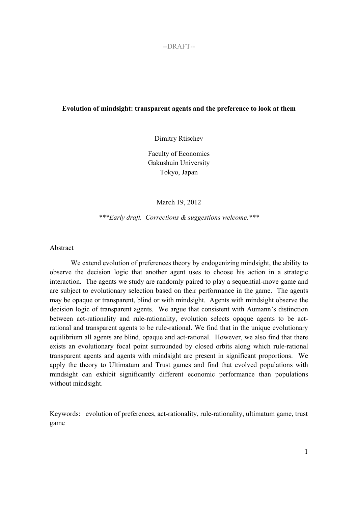# **Evolution of mindsight: transparent agents and the preference to look at them**

Dimitry Rtischev

Faculty of Economics Gakushuin University Tokyo, Japan

March 19, 2012

*\*\*\*Early draft. Corrections & suggestions welcome.\*\*\** 

Abstract

We extend evolution of preferences theory by endogenizing mindsight, the ability to observe the decision logic that another agent uses to choose his action in a strategic interaction. The agents we study are randomly paired to play a sequential-move game and are subject to evolutionary selection based on their performance in the game. The agents may be opaque or transparent, blind or with mindsight. Agents with mindsight observe the decision logic of transparent agents. We argue that consistent with Aumann's distinction between act-rationality and rule-rationality, evolution selects opaque agents to be actrational and transparent agents to be rule-rational. We find that in the unique evolutionary equilibrium all agents are blind, opaque and act-rational. However, we also find that there exists an evolutionary focal point surrounded by closed orbits along which rule-rational transparent agents and agents with mindsight are present in significant proportions. We apply the theory to Ultimatum and Trust games and find that evolved populations with mindsight can exhibit significantly different economic performance than populations without mindsight.

Keywords: evolution of preferences, act-rationality, rule-rationality, ultimatum game, trust game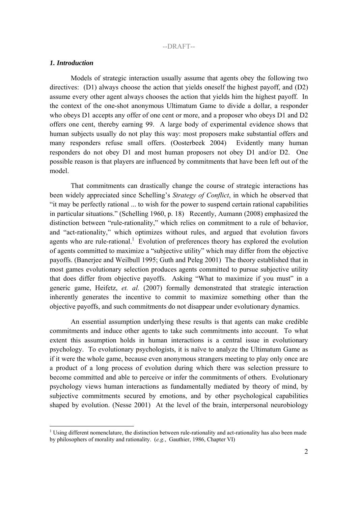### *1. Introduction*

1

Models of strategic interaction usually assume that agents obey the following two directives: (D1) always choose the action that yields oneself the highest payoff, and (D2) assume every other agent always chooses the action that yields him the highest payoff. In the context of the one-shot anonymous Ultimatum Game to divide a dollar, a responder who obeys D1 accepts any offer of one cent or more, and a proposer who obeys D1 and D2 offers one cent, thereby earning 99. A large body of experimental evidence shows that human subjects usually do not play this way: most proposers make substantial offers and many responders refuse small offers. (Oosterbeek 2004) Evidently many human responders do not obey D1 and most human proposers not obey D1 and/or D2. One possible reason is that players are influenced by commitments that have been left out of the model.

That commitments can drastically change the course of strategic interactions has been widely appreciated since Schelling's *Strategy of Conflict*, in which he observed that "it may be perfectly rational ... to wish for the power to suspend certain rational capabilities in particular situations." (Schelling 1960, p. 18) Recently, Aumann (2008) emphasized the distinction between "rule-rationality," which relies on commitment to a rule of behavior, and "act-rationality," which optimizes without rules, and argued that evolution favors agents who are rule-rational.<sup>1</sup> Evolution of preferences theory has explored the evolution of agents committed to maximize a "subjective utility" which may differ from the objective payoffs. (Banerjee and Weilbull 1995; Guth and Peleg 2001) The theory established that in most games evolutionary selection produces agents committed to pursue subjective utility that does differ from objective payoffs. Asking "What to maximize if you must" in a generic game, Heifetz, *et. al.* (2007) formally demonstrated that strategic interaction inherently generates the incentive to commit to maximize something other than the objective payoffs, and such commitments do not disappear under evolutionary dynamics.

An essential assumption underlying these results is that agents can make credible commitments and induce other agents to take such commitments into account. To what extent this assumption holds in human interactions is a central issue in evolutionary psychology. To evolutionary psychologists, it is naïve to analyze the Ultimatum Game as if it were the whole game, because even anonymous strangers meeting to play only once are a product of a long process of evolution during which there was selection pressure to become committed and able to perceive or infer the commitments of others. Evolutionary psychology views human interactions as fundamentally mediated by theory of mind, by subjective commitments secured by emotions, and by other psychological capabilities shaped by evolution. (Nesse 2001) At the level of the brain, interpersonal neurobiology

 $1$  Using different nomenclature, the distinction between rule-rationality and act-rationality has also been made by philosophers of morality and rationality. (*e.g.*, Gauthier, 1986, Chapter VI)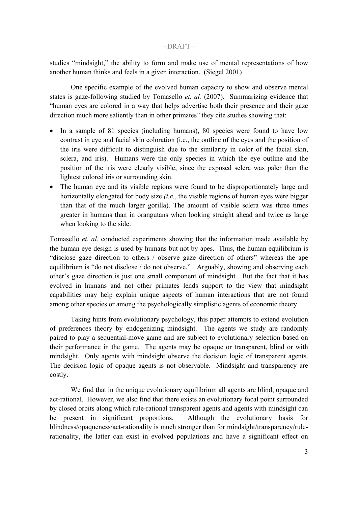studies "mindsight," the ability to form and make use of mental representations of how another human thinks and feels in a given interaction. (Siegel 2001)

One specific example of the evolved human capacity to show and observe mental states is gaze-following studied by Tomasello *et. al.* (2007). Summarizing evidence that "human eyes are colored in a way that helps advertise both their presence and their gaze direction much more saliently than in other primates" they cite studies showing that:

- In a sample of 81 species (including humans), 80 species were found to have low contrast in eye and facial skin coloration (i.e., the outline of the eyes and the position of the iris were difficult to distinguish due to the similarity in color of the facial skin, sclera, and iris). Humans were the only species in which the eye outline and the position of the iris were clearly visible, since the exposed sclera was paler than the lightest colored iris or surrounding skin.
- The human eye and its visible regions were found to be disproportionately large and horizontally elongated for body size *(i.e.*, the visible regions of human eyes were bigger than that of the much larger gorilla). The amount of visible sclera was three times greater in humans than in orangutans when looking straight ahead and twice as large when looking to the side.

Tomasello *et. al.* conducted experiments showing that the information made available by the human eye design is used by humans but not by apes. Thus, the human equilibrium is "disclose gaze direction to others / observe gaze direction of others" whereas the ape equilibrium is "do not disclose / do not observe." Arguably, showing and observing each other's gaze direction is just one small component of mindsight. But the fact that it has evolved in humans and not other primates lends support to the view that mindsight capabilities may help explain unique aspects of human interactions that are not found among other species or among the psychologically simplistic agents of economic theory.

Taking hints from evolutionary psychology, this paper attempts to extend evolution of preferences theory by endogenizing mindsight. The agents we study are randomly paired to play a sequential-move game and are subject to evolutionary selection based on their performance in the game. The agents may be opaque or transparent, blind or with mindsight. Only agents with mindsight observe the decision logic of transparent agents. The decision logic of opaque agents is not observable. Mindsight and transparency are costly.

We find that in the unique evolutionary equilibrium all agents are blind, opaque and act-rational. However, we also find that there exists an evolutionary focal point surrounded by closed orbits along which rule-rational transparent agents and agents with mindsight can be present in significant proportions. Although the evolutionary basis for blindness/opaqueness/act-rationality is much stronger than for mindsight/transparency/rulerationality, the latter can exist in evolved populations and have a significant effect on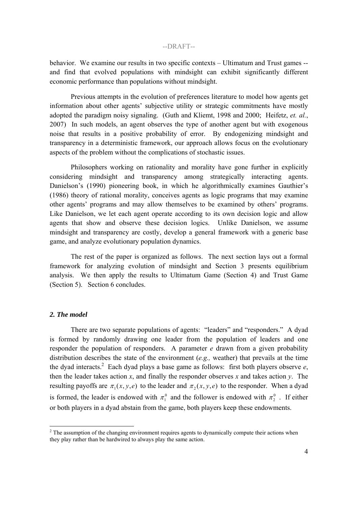behavior. We examine our results in two specific contexts – Ultimatum and Trust games - and find that evolved populations with mindsight can exhibit significantly different economic performance than populations without mindsight.

Previous attempts in the evolution of preferences literature to model how agents get information about other agents' subjective utility or strategic commitments have mostly adopted the paradigm noisy signaling. (Guth and Kliemt, 1998 and 2000; Heifetz, *et. al.*, 2007) In such models, an agent observes the type of another agent but with exogenous noise that results in a positive probability of error. By endogenizing mindsight and transparency in a deterministic framework, our approach allows focus on the evolutionary aspects of the problem without the complications of stochastic issues.

Philosophers working on rationality and morality have gone further in explicitly considering mindsight and transparency among strategically interacting agents. Danielson's (1990) pioneering book, in which he algorithmically examines Gauthier's (1986) theory of rational morality, conceives agents as logic programs that may examine other agents' programs and may allow themselves to be examined by others' programs. Like Danielson, we let each agent operate according to its own decision logic and allow agents that show and observe these decision logics. Unlike Danielson, we assume mindsight and transparency are costly, develop a general framework with a generic base game, and analyze evolutionary population dynamics.

The rest of the paper is organized as follows. The next section lays out a formal framework for analyzing evolution of mindsight and Section 3 presents equilibrium analysis. We then apply the results to Ultimatum Game (Section 4) and Trust Game (Section 5). Section 6 concludes.

### *2. The model*

1

There are two separate populations of agents: "leaders" and "responders." A dyad is formed by randomly drawing one leader from the population of leaders and one responder the population of responders. A parameter *e* drawn from a given probability distribution describes the state of the environment (*e.g.,* weather) that prevails at the time the dyad interacts.<sup>2</sup> Each dyad plays a base game as follows: first both players observe  $e$ , then the leader takes action  $x$ , and finally the responder observes  $x$  and takes action  $y$ . The resulting payoffs are  $\pi_1(x, y, e)$  to the leader and  $\pi_2(x, y, e)$  to the responder. When a dyad is formed, the leader is endowed with  $\pi_1^0$  and the follower is endowed with  $\pi_2^0$ . If either or both players in a dyad abstain from the game, both players keep these endowments.

 $2<sup>2</sup>$  The assumption of the changing environment requires agents to dynamically compute their actions when they play rather than be hardwired to always play the same action.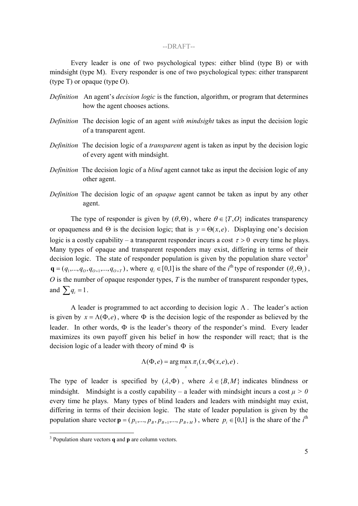Every leader is one of two psychological types: either blind (type B) or with mindsight (type M). Every responder is one of two psychological types: either transparent (type T) or opaque (type O).

- *Definition* An agent's *decision logic* is the function, algorithm, or program that determines how the agent chooses actions.
- *Definition* The decision logic of an agent *with mindsight* takes as input the decision logic of a transparent agent.
- *Definition* The decision logic of a *transparent* agent is taken as input by the decision logic of every agent with mindsight.
- *Definition* The decision logic of a *blind* agent cannot take as input the decision logic of any other agent.
- *Definition* The decision logic of an *opaque* agent cannot be taken as input by any other agent.

The type of responder is given by  $(\theta, \Theta)$ , where  $\theta \in \{T, O\}$  indicates transparency or opaqueness and  $\Theta$  is the decision logic; that is  $y = \Theta(x, e)$ . Displaying one's decision logic is a costly capability – a transparent responder incurs a cost  $\tau > 0$  every time he plays. Many types of opaque and transparent responders may exist, differing in terms of their decision logic. The state of responder population is given by the population share vector<sup>3</sup>  $\mathbf{q} = (q_1, \ldots, q_0, q_{0+1}, \ldots, q_{0+T})$ , where  $q_i \in [0,1]$  is the share of the *i*<sup>th</sup> type of responder  $(\theta_i, \Theta_i)$ , *O* is the number of opaque responder types, *T* is the number of transparent responder types, and  $\sum q_i = 1$ .

A leader is programmed to act according to decision logic  $\Lambda$ . The leader's action is given by  $x = \Lambda(\Phi, e)$ , where  $\Phi$  is the decision logic of the responder as believed by the leader. In other words,  $\Phi$  is the leader's theory of the responder's mind. Every leader maximizes its own payoff given his belief in how the responder will react; that is the decision logic of a leader with theory of mind  $\Phi$  is

$$
\Lambda(\Phi,e) = \arg\max_{x} \pi_1(x,\Phi(x,e),e).
$$

The type of leader is specified by  $(\lambda, \Phi)$ , where  $\lambda \in \{B, M\}$  indicates blindness or mindsight. Mindsight is a costly capability – a leader with mindsight incurs a cost  $\mu > 0$ every time he plays. Many types of blind leaders and leaders with mindsight may exist, differing in terms of their decision logic. The state of leader population is given by the population share vector  $\mathbf{p} = (p_1, ..., p_B, p_{B+1}, ..., p_{B+M})$ , where  $p_i \in [0,1]$  is the share of the *i*<sup>th</sup>

 $\overline{a}$ 

<sup>3</sup> Population share vectors **q** and **p** are column vectors.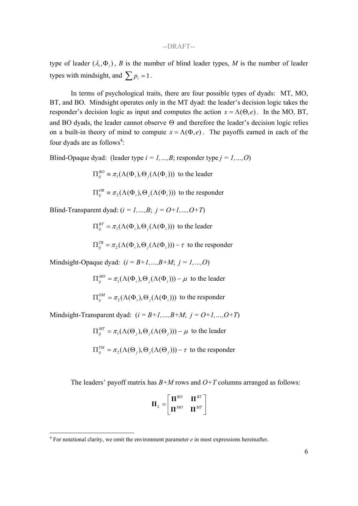type of leader  $(\lambda_i, \Phi_i)$ , *B* is the number of blind leader types, *M* is the number of leader types with mindsight, and  $\sum_{i=1}^{n} p_i = 1$ .

In terms of psychological traits, there are four possible types of dyads: MT, MO, BT, and BO. Mindsight operates only in the MT dyad: the leader's decision logic takes the responder's decision logic as input and computes the action  $x = \Lambda(\Theta, e)$ . In the MO, BT, and BO dyads, the leader cannot observe  $\Theta$  and therefore the leader's decision logic relies on a built-in theory of mind to compute  $x = \Lambda(\Phi, e)$ . The payoffs earned in each of the four dyads are as follows<sup>4</sup>:

Blind-Opaque dyad: (leader type *i = 1,…,B*; responder type *j = 1,…,O*)

 $\Pi_{ij}^{BO} \equiv \pi_1(\Lambda(\Phi_i), \Theta_j(\Lambda(\Phi_i)))$  to the leader

 $\Pi_{ij}^{OB} \equiv \pi_2(\Lambda(\Phi_i), \Theta_j(\Lambda(\Phi_i)))$  to the responder

Blind-Transparent dyad:  $(i = 1, ..., B; j = O+1, ..., O+T)$ 

 $\Pi_{ij}^{BT} = \pi_1(\Lambda(\Phi_i), \Theta_j(\Lambda(\Phi_i)))$  to the leader

 $\Pi_{ij}^{TB} = \pi_2(\Lambda(\Phi_i), \Theta_j(\Lambda(\Phi_i))) - \tau$  to the responder

Mindsight-Opaque dyad:  $(i = B+1, ..., B+M; j = 1, ..., O)$ 

 $\Pi_{ij}^{MO} = \pi_1(\Lambda(\Phi_i), \Theta_j(\Lambda(\Phi_i))) - \mu$  to the leader

 $\Pi_{ij}^{OM} = \pi_2(\Lambda(\Phi_i), \Theta_j(\Lambda(\Phi_i)))$  to the responder

Mindsight-Transparent dyad: (*i = B+1,…,B+M*; *j = O+1,…,O+T*)

 $\Pi_{ij}^{MT} = \pi_1(\Lambda(\Theta_j), \Theta_j(\Lambda(\Theta_j))) - \mu$  to the leader  $\Pi_{ij}^{TM} = \pi_2(\Lambda(\Theta_j), \Theta_j(\Lambda(\Theta_j))) - \tau$  to the responder

The leaders' payoff matrix has *B+M* rows and *O+T* columns arranged as follows:

| $\Pi^{BO}$ | $\mathbf{f}^{BT}$<br>П |
|------------|------------------------|
| $\Pi^{MO}$ | MT<br>Г                |

 $4$  For notational clarity, we omit the environment parameter  $e$  in most expressions hereinafter.

 $\overline{a}$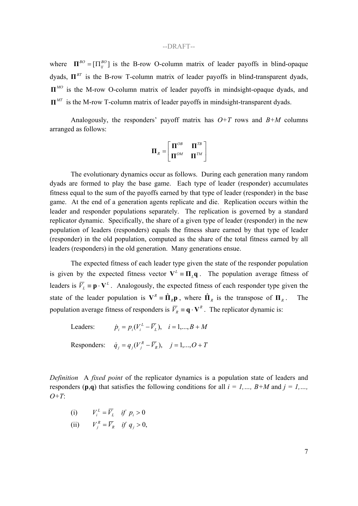where  $\mathbf{\Pi}^{BO} = [\Pi_{ij}^{BO}]$  is the B-row O-column matrix of leader payoffs in blind-opaque dyads,  $\Pi^{BT}$  is the B-row T-column matrix of leader payoffs in blind-transparent dyads, *II<sup>MO</sup>* is the M-row O-column matrix of leader payoffs in mindsight-opaque dyads, and  $\Pi^{MT}$  is the M-row T-column matrix of leader payoffs in mindsight-transparent dyads.

Analogously, the responders' payoff matrix has  $O+T$  rows and  $B+M$  columns arranged as follows:

$$
\boldsymbol{\Pi}_R = \begin{bmatrix} \boldsymbol{\Pi}^{OB} & \boldsymbol{\Pi}^{TB} \\ \boldsymbol{\Pi}^{OM} & \boldsymbol{\Pi}^{TM} \end{bmatrix}
$$

The evolutionary dynamics occur as follows. During each generation many random dyads are formed to play the base game. Each type of leader (responder) accumulates fitness equal to the sum of the payoffs earned by that type of leader (responder) in the base game. At the end of a generation agents replicate and die. Replication occurs within the leader and responder populations separately. The replication is governed by a standard replicator dynamic. Specifically, the share of a given type of leader (responder) in the new population of leaders (responders) equals the fitness share earned by that type of leader (responder) in the old population, computed as the share of the total fitness earned by all leaders (responders) in the old generation. Many generations ensue.

The expected fitness of each leader type given the state of the responder population is given by the expected fitness vector  $V^L = \Pi_L q$ . The population average fitness of leaders is  $\overline{V}_l \equiv \mathbf{p} \cdot \mathbf{V}^L$ . Analogously, the expected fitness of each responder type given the state of the leader population is  $V^R = \hat{\mathbf{\Pi}}_R \mathbf{p}$ , where  $\hat{\mathbf{\Pi}}_R$  is the transpose of  $\mathbf{\Pi}_R$ . The population average fitness of responders is  $\overline{V}_R \equiv \mathbf{q} \cdot \mathbf{V}^R$ . The replicator dynamic is:

Leaders:  $\dot{p}_i = p_i (V_i^L - \overline{V}_i), \quad i = 1,..., B + M$ 

Responders:  $\dot{q}_i = q_i(V_i^R - \overline{V}_R), \quad j = 1,...,O + T$ 

*Definition* A *fixed point* of the replicator dynamics is a population state of leaders and responders (**p**,**q**) that satisfies the following conditions for all  $i = 1, ..., B+M$  and  $j = 1, ...,$ *O+T*:

- (i)  $V_i^L = \overline{V}_L$  *if*  $p_i > 0$
- (ii)  $V_j^R = \overline{V}_R$  *if*  $q_j > 0$ ,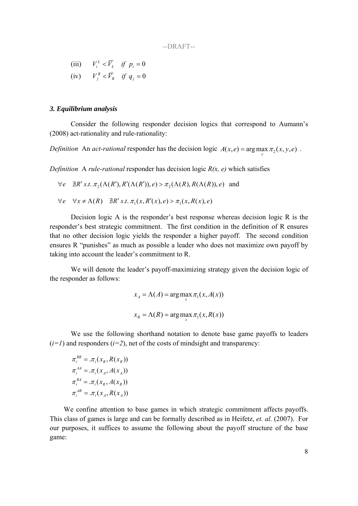(iii)  $V_i^L < \overline{V_i}$  *if*  $p_i = 0$ (iv)  $V_i^R < \overline{V_i}$  *if*  $q_i = 0$ 

### *3. Equilibrium analysis*

Consider the following responder decision logics that correspond to Aumann's (2008) act-rationality and rule-rationality:

*Definition* An *act-rational* responder has the decision logic  $A(x, e) = \arg \max_{y} \pi_2(x, y, e)$ .

*Definition* A *rule-rational* responder has decision logic *R(x, e)* which satisfies

 $\forall e \quad \nexists R' \, s.t. \, \pi_2(\Lambda(R'), R'(\Lambda(R')), e) > \pi_2(\Lambda(R), R(\Lambda(R)), e)$  and

$$
\forall e \quad \forall x \neq \Lambda(R) \quad \exists R' \ s.t. \ \pi_1(x, R'(x), e) > \pi_1(x, R(x), e)
$$

Decision logic A is the responder's best response whereas decision logic R is the responder's best strategic commitment. The first condition in the definition of R ensures that no other decision logic yields the responder a higher payoff. The second condition ensures R "punishes" as much as possible a leader who does not maximize own payoff by taking into account the leader's commitment to R.

We will denote the leader's payoff-maximizing strategy given the decision logic of the responder as follows:

$$
x_A = \Lambda(A) = \arg\max_{x} \pi_1(x, A(x))
$$

$$
x_R = \Lambda(R) = \arg\max_{x} \pi_1(x, R(x))
$$

We use the following shorthand notation to denote base game payoffs to leaders  $(i=1)$  and responders  $(i=2)$ , net of the costs of mindsight and transparency:

 $\pi_i^{AR} = \pi_i(x_A, R(x_A))$  $\pi_i^{RA} = \pi_i(x_R, A(x_R))$  $\pi_i^{A} = \pi_i(x_A, A(x_A))$  $\pi_i^{RR} = \pi_i(x_R, R(x_R))$ 

We confine attention to base games in which strategic commitment affects payoffs. This class of games is large and can be formally described as in Heifetz, *et. al.* (2007). For our purposes, it suffices to assume the following about the payoff structure of the base game: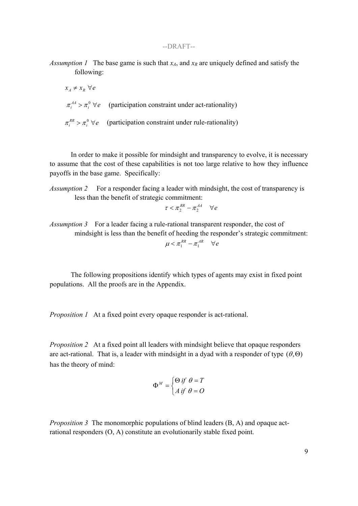*Assumption 1* The base game is such that  $x_A$ , and  $x_R$  are uniquely defined and satisfy the following:

$$
x_A \neq x_R \,\forall e
$$
  
\n $\pi_i^A > \pi_i^0 \,\forall e$  (participation constraint under act-rationality)

 $\pi_i^{RR} > \pi_i^0 \ \forall e$  (participation constraint under rule-rationality)

In order to make it possible for mindsight and transparency to evolve, it is necessary to assume that the cost of these capabilities is not too large relative to how they influence payoffs in the base game. Specifically:

*Assumption 2* For a responder facing a leader with mindsight, the cost of transparency is less than the benefit of strategic commitment:

$$
\tau < \pi_2^{\scriptscriptstyle RR} - \pi_2^{\scriptscriptstyle AA} \quad \forall\, e
$$

*Assumption 3* For a leader facing a rule-rational transparent responder, the cost of mindsight is less than the benefit of heeding the responder's strategic commitment:  $\mu < \pi_1^{RR} - \pi_1^{AR}$   $\forall e$ 

The following propositions identify which types of agents may exist in fixed point populations. All the proofs are in the Appendix.

*Proposition 1* At a fixed point every opaque responder is act-rational.

*Proposition 2* At a fixed point all leaders with mindsight believe that opaque responders are act-rational. That is, a leader with mindsight in a dyad with a responder of type  $(\theta, \Theta)$ has the theory of mind:

$$
\Phi^M = \begin{cases} \Theta \text{ if } \theta = T \\ A \text{ if } \theta = O \end{cases}
$$

*Proposition 3* The monomorphic populations of blind leaders (B, A) and opaque actrational responders (O, A) constitute an evolutionarily stable fixed point.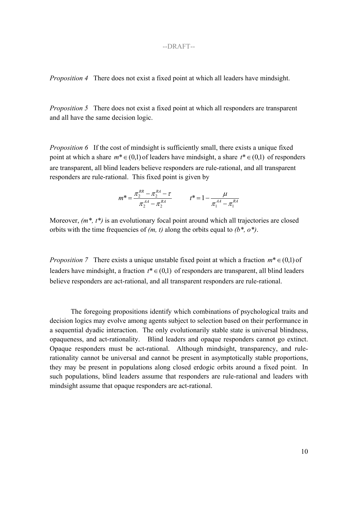*Proposition 4* There does not exist a fixed point at which all leaders have mindsight.

*Proposition 5* There does not exist a fixed point at which all responders are transparent and all have the same decision logic.

*Proposition 6* If the cost of mindsight is sufficiently small, there exists a unique fixed point at which a share  $m^* \in (0,1)$  of leaders have mindsight, a share  $t^* \in (0,1)$  of responders are transparent, all blind leaders believe responders are rule-rational, and all transparent responders are rule-rational. This fixed point is given by

$$
m^* = \frac{\pi_2^{RR} - \pi_2^{RA} - \tau}{\pi_2^{AA} - \pi_2^{RA}} \qquad t^* = 1 - \frac{\mu}{\pi_1^{AA} - \pi_1^{RA}}
$$

Moreover,  $(m^*, t^*)$  is an evolutionary focal point around which all trajectories are closed orbits with the time frequencies of *(m, t)* along the orbits equal to *(b\*, o\*)*.

*Proposition 7* There exists a unique unstable fixed point at which a fraction  $m^* \in (0,1)$  of leaders have mindsight, a fraction  $t^* \in (0,1)$  of responders are transparent, all blind leaders believe responders are act-rational, and all transparent responders are rule-rational.

The foregoing propositions identify which combinations of psychological traits and decision logics may evolve among agents subject to selection based on their performance in a sequential dyadic interaction. The only evolutionarily stable state is universal blindness, opaqueness, and act-rationality. Blind leaders and opaque responders cannot go extinct. Opaque responders must be act-rational. Although mindsight, transparency, and rulerationality cannot be universal and cannot be present in asymptotically stable proportions, they may be present in populations along closed erdogic orbits around a fixed point. In such populations, blind leaders assume that responders are rule-rational and leaders with mindsight assume that opaque responders are act-rational.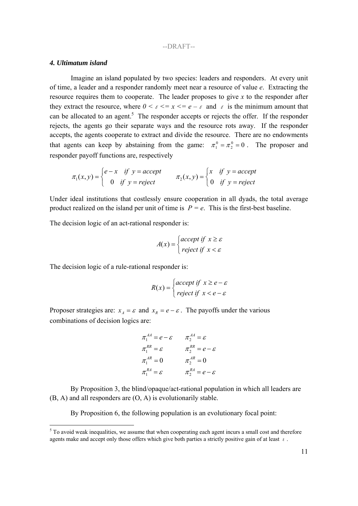#### *4. Ultimatum island*

Imagine an island populated by two species: leaders and responders. At every unit of time, a leader and a responder randomly meet near a resource of value *e*. Extracting the resource requires them to cooperate. The leader proposes to give *x* to the responder after they extract the resource, where  $0 \le \varepsilon \le x \le e - \varepsilon$  and  $\varepsilon$  is the minimum amount that can be allocated to an agent.<sup>5</sup> The responder accepts or rejects the offer. If the responder rejects, the agents go their separate ways and the resource rots away. If the responder accepts, the agents cooperate to extract and divide the resource. There are no endowments that agents can keep by abstaining from the game:  $\pi_1^0 = \pi_2^0 = 0$ . The proposer and responder payoff functions are, respectively

$$
\pi_1(x, y) = \begin{cases} e - x & \text{if } y = accept \\ 0 & \text{if } y = reject \end{cases} \qquad \pi_2(x, y) = \begin{cases} x & \text{if } y = accept \\ 0 & \text{if } y = reject \end{cases}
$$

Under ideal institutions that costlessly ensure cooperation in all dyads, the total average product realized on the island per unit of time is  $P = e$ . This is the first-best baseline.

The decision logic of an act-rational responder is:

$$
A(x) = \begin{cases} accept \text{ if } x \ge \varepsilon \\ reject \text{ if } x < \varepsilon \end{cases}
$$

The decision logic of a rule-rational responder is:

$$
R(x) = \begin{cases} accept \text{ if } x \ge e - \varepsilon \\ reject \text{ if } x < e - \varepsilon \end{cases}
$$

Proposer strategies are:  $x_A = \varepsilon$  and  $x_R = e - \varepsilon$ . The payoffs under the various combinations of decision logics are:

$$
\pi_1^{AA} = e - \varepsilon \qquad \pi_2^{AA} = \varepsilon
$$
  
\n
$$
\pi_1^{RR} = \varepsilon \qquad \qquad \pi_2^{RR} = e - \varepsilon
$$
  
\n
$$
\pi_1^{AR} = 0 \qquad \qquad \pi_2^{AR} = 0
$$
  
\n
$$
\pi_1^{RA} = \varepsilon \qquad \qquad \pi_2^{RA} = e - \varepsilon
$$

By Proposition 3, the blind/opaque/act-rational population in which all leaders are (B, A) and all responders are (O, A) is evolutionarily stable.

By Proposition 6, the following population is an evolutionary focal point:

<sup>&</sup>lt;sup>5</sup> To avoid weak inequalities, we assume that when cooperating each agent incurs a small cost and therefore agents make and accept only those offers which give both parties a strictly positive gain of at least  $\epsilon$ .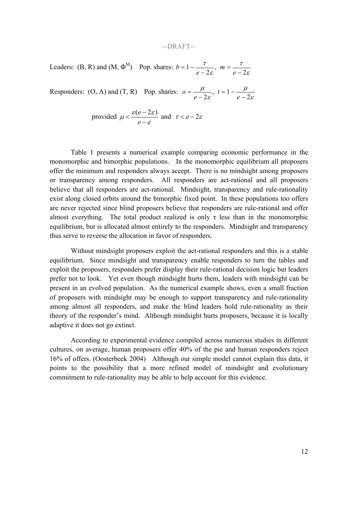Leaders: (B, R) and (M,  $\Phi^M$ ) Pop. shares:  $b = 1 - \frac{\tau}{e - 2\varepsilon}$ ,  $m = \frac{\tau}{e - 2\varepsilon}$ τ ε  $=1-\frac{\tau}{e-2\varepsilon}, m=\frac{\tau}{e-2\varepsilon}$ *e b*

Responders: (O, A) and (T, R) Pop. shares:  $o = \frac{\mu}{e - 2\varepsilon}$ ,  $t = 1 - \frac{\mu}{e - 2\varepsilon}$  $\mu$ ε  $=\frac{\mu}{e-2\varepsilon}, t=1-\frac{\mu}{e-2}$ *e*  $o = \frac{\mu}{\sqrt{2}}, t = 1 - \frac{\mu}{\sqrt{2}}$ 

provided 
$$
\mu < \frac{\varepsilon(e-2\varepsilon)}{e-\varepsilon}
$$
 and  $\tau < e-2\varepsilon$ 

 Table 1 presents a numerical example comparing economic performance in the monomorphic and bimorphic populations. In the monomorphic equilibrium all proposers offer the minimum and responders always accept. There is no mindsight among proposers or transparency among responders. All responders are act-rational and all proposers believe that all responders are act-rational. Mindsight, transparency and rule-rationality exist along closed orbits around the bimorphic fixed point. In these populations too offers are never rejected since blind proposers believe that responders are rule-rational and offer almost everything. The total product realized is only  $\tau$  less than in the monomorphic equilibrium, but is allocated almost entirely to the responders. Mindsight and transparency thus serve to reverse the allocation in favor of responders.

Without mindsight proposers exploit the act-rational responders and this is a stable equilibrium. Since mindsight and transparency enable responders to turn the tables and exploit the proposers, responders prefer display their rule-rational decision logic but leaders prefer not to look. Yet even though mindsight hurts them, leaders with mindsight can be present in an evolved population. As the numerical example shows, even a small fraction of proposers with mindsight may be enough to support transparency and rule-rationality among almost all responders, and make the blind leaders hold rule-rationality as their theory of the responder's mind. Although mindsight hurts proposers, because it is locally adaptive it does not go extinct.

According to experimental evidence compiled across numerous studies in different cultures, on average, human proposers offer 40% of the pie and human responders reject 16% of offers. (Oosterbeek 2004) Although our simple model cannot explain this data, it points to the possibility that a more refined model of mindsight and evolutionary commitment to rule-rationality may be able to help account for this evidence.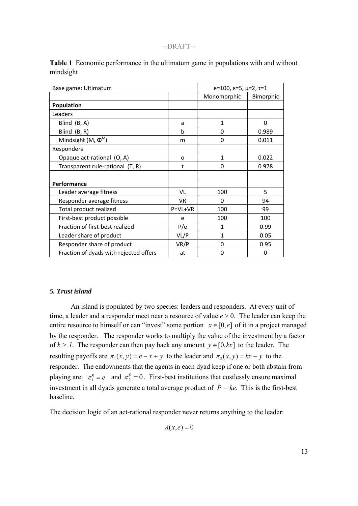| Base game: Ultimatum                   |           | $e=100$ , $\varepsilon=5$ , $\mu=2$ , $\tau=1$ |           |
|----------------------------------------|-----------|------------------------------------------------|-----------|
|                                        |           | Monomorphic                                    | Bimorphic |
| <b>Population</b>                      |           |                                                |           |
| Leaders                                |           |                                                |           |
| Blind (B, A)                           | a         | 1                                              | $\Omega$  |
| Blind (B, R)                           | b         | 0                                              | 0.989     |
| Mindsight (M, $\Phi^M$ )               | m         | 0                                              | 0.011     |
| Responders                             |           |                                                |           |
| Opaque act-rational (O, A)             | O         | $\mathbf{1}$                                   | 0.022     |
| Transparent rule-rational (T, R)       | t         | 0                                              | 0.978     |
|                                        |           |                                                |           |
| Performance                            |           |                                                |           |
| Leader average fitness                 | VL        | 100                                            | 5         |
| Responder average fitness              | <b>VR</b> | $\Omega$                                       | 94        |
| Total product realized                 | $P=VL+VR$ | 100                                            | 99        |
| First-best product possible            | e         | 100                                            | 100       |
| Fraction of first-best realized        | P/e       | 1                                              | 0.99      |
| Leader share of product                | VL/P      | 1                                              | 0.05      |
| Responder share of product             | VR/P      | 0                                              | 0.95      |
| Fraction of dyads with rejected offers | at        | 0                                              | 0         |

**Table 1** Economic performance in the ultimatum game in populations with and without mindsight

## *5. Trust island*

An island is populated by two species: leaders and responders. At every unit of time, a leader and a responder meet near a resource of value  $e > 0$ . The leader can keep the entire resource to himself or can "invest" some portion  $x \in [0, e]$  of it in a project managed by the responder. The responder works to multiply the value of the investment by a factor of  $k > 1$ . The responder can then pay back any amount  $y \in [0, kx]$  to the leader. The resulting payoffs are  $\pi_1(x, y) = e - x + y$  to the leader and  $\pi_2(x, y) = kx - y$  to the responder. The endowments that the agents in each dyad keep if one or both abstain from playing are:  $\pi_1^0 = e$  and  $\pi_2^0 = 0$ . First-best institutions that costlessly ensure maximal investment in all dyads generate a total average product of *P = ke*. This is the first-best baseline.

The decision logic of an act-rational responder never returns anything to the leader:

 $A(x,e) = 0$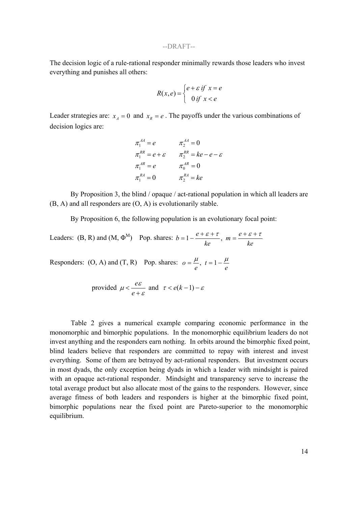The decision logic of a rule-rational responder minimally rewards those leaders who invest everything and punishes all others:

$$
R(x,e) = \begin{cases} e + \varepsilon \text{ if } x = e \\ 0 \text{ if } x < e \end{cases}
$$

Leader strategies are:  $x_A = 0$  and  $x_R = e$ . The payoffs under the various combinations of decision logics are:

$$
\pi_1^{AA} = e \qquad \pi_2^{AA} = 0
$$
  
\n
$$
\pi_1^{RR} = e + \varepsilon \qquad \pi_2^{RR} = ke - e - \varepsilon
$$
  
\n
$$
\pi_1^{AR} = e \qquad \pi_0^{AR} = 0
$$
  
\n
$$
\pi_1^{RA} = 0 \qquad \pi_2^{RA} = ke
$$

By Proposition 3, the blind / opaque / act-rational population in which all leaders are (B, A) and all responders are (O, A) is evolutionarily stable.

By Proposition 6, the following population is an evolutionary focal point:

Leaders: (B, R) and (M,  $\Phi^M$ ) Pop. shares:  $b = 1 - \frac{e + \varepsilon + \tau}{ke}$ ,  $m = \frac{e + \varepsilon}{ke}$ *ke*  $b=1-\frac{e+\varepsilon+\tau}{\tau}, m=\frac{e+\varepsilon+\tau}{\tau}$ 

Responders:  $(O, A)$  and  $(T, R)$  Pop. shares: *e t e*  $o = \frac{\mu}{t}, t = 1 - \frac{\mu}{t}$ 

provided 
$$
\mu < \frac{e \varepsilon}{e + \varepsilon}
$$
 and  $\tau < e(k-1) - \varepsilon$ 

Table 2 gives a numerical example comparing economic performance in the monomorphic and bimorphic populations. In the monomorphic equilibrium leaders do not invest anything and the responders earn nothing. In orbits around the bimorphic fixed point, blind leaders believe that responders are committed to repay with interest and invest everything. Some of them are betrayed by act-rational responders. But investment occurs in most dyads, the only exception being dyads in which a leader with mindsight is paired with an opaque act-rational responder. Mindsight and transparency serve to increase the total average product but also allocate most of the gains to the responders. However, since average fitness of both leaders and responders is higher at the bimorphic fixed point, bimorphic populations near the fixed point are Pareto-superior to the monomorphic equilibrium.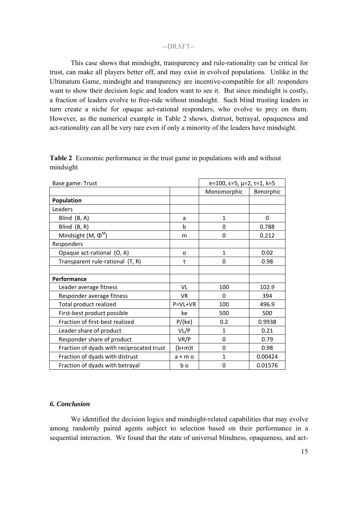This case shows that mindsight, transparency and rule-rationality can be critical for trust, can make all players better off, and may exist in evolved populations. Unlike in the Ultimatum Game, mindsight and transparency are incentive-compatible for all: responders want to show their decision logic and leaders want to see it. But since mindsight is costly, a fraction of leaders evolve to free-ride without mindsight. Such blind trusting leaders in turn create a niche for opaque act-rational responders, who evolve to prey on them. However, as the numerical example in Table 2 shows, distrust, betrayal, opaqueness and act-rationality can all be very rare even if only a minority of the leaders have mindsight.

| Base game: Trust                          |             | $e=100$ , $\varepsilon=5$ , $\mu=2$ , $\tau=1$ , $k=5$ |           |
|-------------------------------------------|-------------|--------------------------------------------------------|-----------|
|                                           |             | Monomorphic                                            | Bimorphic |
| Population                                |             |                                                        |           |
| Leaders                                   |             |                                                        |           |
| Blind (B, A)                              | a           | $\mathbf{1}$                                           | $\Omega$  |
| Blind (B, R)                              | $\mathbf b$ | 0                                                      | 0.788     |
| Mindsight (M, $\Phi^M$ )                  | m           | $\Omega$                                               | 0.212     |
| Responders                                |             |                                                        |           |
| Opaque act-rational (O, A)                | O           | $\mathbf{1}$                                           | 0.02      |
| Transparent rule-rational (T, R)          | t           | $\Omega$                                               | 0.98      |
|                                           |             |                                                        |           |
| Performance                               |             |                                                        |           |
| Leader average fitness                    | VL          | 100                                                    | 102.9     |
| Responder average fitness                 | <b>VR</b>   | 0                                                      | 394       |
| Total product realized                    | P=VL+VR     | 100                                                    | 496.9     |
| First-best product possible               | ke          | 500                                                    | 500       |
| Fraction of first-best realized           | P/(ke)      | 0.2                                                    | 0.9938    |
| Leader share of product                   | VL/P        | 1                                                      | 0.21      |
| Responder share of product                | VR/P        | 0                                                      | 0.79      |
| Fraction of dyads with reciprocated trust | $(b+m)t$    | $\Omega$                                               | 0.98      |
| Fraction of dyads with distrust           | $a + m$ o   | 1                                                      | 0.00424   |
| Fraction of dyads with betrayal           | b o         | 0                                                      | 0.01576   |

**Table 2** Economic performance in the trust game in populations with and without mindsight

# *6. Conclusion*

We identified the decision logics and mindsight-related capabilities that may evolve among randomly paired agents subject to selection based on their performance in a sequential interaction. We found that the state of universal blindness, opaqueness, and act-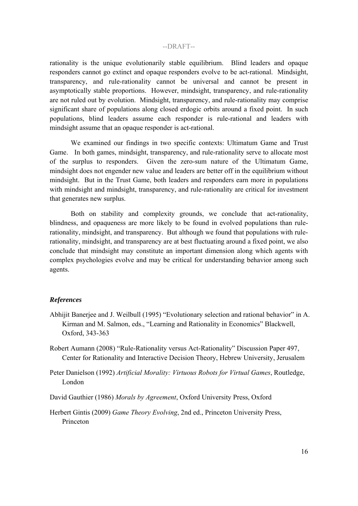rationality is the unique evolutionarily stable equilibrium. Blind leaders and opaque responders cannot go extinct and opaque responders evolve to be act-rational. Mindsight, transparency, and rule-rationality cannot be universal and cannot be present in asymptotically stable proportions. However, mindsight, transparency, and rule-rationality are not ruled out by evolution. Mindsight, transparency, and rule-rationality may comprise significant share of populations along closed erdogic orbits around a fixed point. In such populations, blind leaders assume each responder is rule-rational and leaders with mindsight assume that an opaque responder is act-rational.

We examined our findings in two specific contexts: Ultimatum Game and Trust Game. In both games, mindsight, transparency, and rule-rationality serve to allocate most of the surplus to responders. Given the zero-sum nature of the Ultimatum Game, mindsight does not engender new value and leaders are better off in the equilibrium without mindsight. But in the Trust Game, both leaders and responders earn more in populations with mindsight and mindsight, transparency, and rule-rationality are critical for investment that generates new surplus.

Both on stability and complexity grounds, we conclude that act-rationality, blindness, and opaqueness are more likely to be found in evolved populations than rulerationality, mindsight, and transparency. But although we found that populations with rulerationality, mindsight, and transparency are at best fluctuating around a fixed point, we also conclude that mindsight may constitute an important dimension along which agents with complex psychologies evolve and may be critical for understanding behavior among such agents.

## *References*

- Abhijit Banerjee and J. Weilbull (1995) "Evolutionary selection and rational behavior" in A. Kirman and M. Salmon, eds., "Learning and Rationality in Economics" Blackwell, Oxford, 343-363
- Robert Aumann (2008) "Rule-Rationality versus Act-Rationality" Discussion Paper 497, Center for Rationality and Interactive Decision Theory, Hebrew University, Jerusalem
- Peter Danielson (1992) *Artificial Morality: Virtuous Robots for Virtual Games*, Routledge, London
- David Gauthier (1986) *Morals by Agreement*, Oxford University Press, Oxford
- Herbert Gintis (2009) *Game Theory Evolving*, 2nd ed., Princeton University Press, Princeton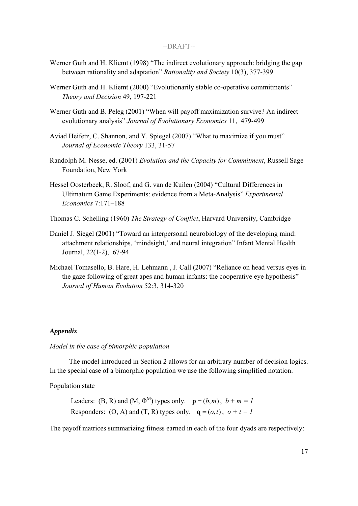- Werner Guth and H. Kliemt (1998) "The indirect evolutionary approach: bridging the gap between rationality and adaptation" *Rationality and Society* 10(3), 377-399
- Werner Guth and H. Kliemt (2000) "Evolutionarily stable co-operative commitments" *Theory and Decision* 49, 197-221
- Werner Guth and B. Peleg (2001) "When will payoff maximization survive? An indirect evolutionary analysis" *Journal of Evolutionary Economics* 11, 479-499
- Aviad Heifetz, C. Shannon, and Y. Spiegel (2007) "What to maximize if you must" *Journal of Economic Theory* 133, 31-57
- Randolph M. Nesse, ed. (2001) *Evolution and the Capacity for Commitment*, Russell Sage Foundation, New York
- Hessel Oosterbeek, R. Sloof, and G. van de Kuilen (2004) "Cultural Differences in Ultimatum Game Experiments: evidence from a Meta-Analysis" *Experimental Economics* 7:171–188
- Thomas C. Schelling (1960) *The Strategy of Conflict*, Harvard University, Cambridge
- Daniel J. Siegel (2001) "Toward an interpersonal neurobiology of the developing mind: attachment relationships, 'mindsight,' and neural integration" Infant Mental Health Journal, 22(1-2), 67-94
- Michael Tomasello, B. Hare, H. Lehmann , J. Call (2007) "Reliance on head versus eyes in the gaze following of great apes and human infants: the cooperative eye hypothesis" *Journal of Human Evolution* 52:3, 314-320

#### *Appendix*

## *Model in the case of bimorphic population*

The model introduced in Section 2 allows for an arbitrary number of decision logics. In the special case of a bimorphic population we use the following simplified notation.

Population state

Leaders: (B, R) and (M,  $\Phi^M$ ) types only.  $\mathbf{p} = (b,m)$ ,  $b + m = 1$ Responders: (O, A) and (T, R) types only.  $q = (o,t)$ ,  $o + t = 1$ 

The payoff matrices summarizing fitness earned in each of the four dyads are respectively: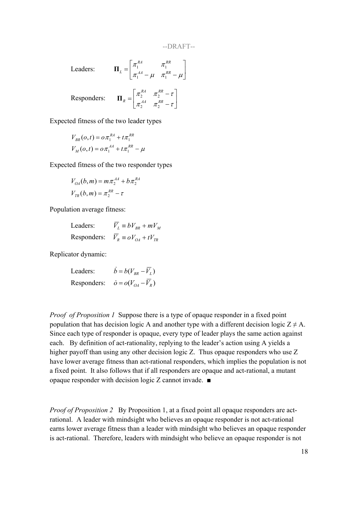$\begin{array}{c} \hline \end{array}$ 

Leaders:  $\mathbf{\Pi}_{L} = \begin{pmatrix} \lambda_1 & \lambda_2 \\ -A A & \lambda_1 & -R R \end{pmatrix}$  $\begin{cases} \pi_1^{RA} & \pi_1^{RR} \\ -\frac{AA}{R} & \pi_1^{RR} \end{cases}$ L  $\overline{ }$  $\begin{aligned} \mathcal{L} = \begin{vmatrix} \pi_1 & \pi_1 \ \pi_1^{AA} - \mu & \pi_1^{RR} - \mu \end{vmatrix} \end{aligned}$ *AA RR RA RR L*  $1 - \mu$   $n_1$  $\prod_{l} = \begin{array}{ccc} \lambda_1 & \lambda_1 & \lambda_2 \\ \lambda_4 & \lambda_5 & \lambda_6 \end{array}$ 

Responders:

$$
\mathbf{\Pi}_R = \begin{bmatrix} \pi_2^{RA} & \pi_2^{RR} - \tau \\ \pi_2^{AA} & \pi_2^{RR} - \tau \end{bmatrix}
$$

Expected fitness of the two leader types

$$
V_{BR}(o,t) = o\pi_1^{RA} + t\pi_1^{RR}
$$
  

$$
V_M(o,t) = o\pi_1^{AA} + t\pi_1^{RR} - \mu
$$

Expected fitness of the two responder types

$$
V_{OA}(b,m) = m\pi_2^{AA} + b\pi_2^{RA}
$$
  

$$
V_{TR}(b,m) = \pi_2^{RR} - \tau
$$

Population average fitness:

Leaders:  $\overline{V}_L \equiv bV_{BR} + mV_M$ Responders:  $\overline{V}_R \equiv oV_{OA} + tV_{TR}$ 

Replicator dynamic:

Leaders: 
$$
\dot{b} = b(V_{BR} - \overline{V}_L)
$$
  
Responders:  $\dot{o} = o(V_{OA} - \overline{V}_R)$ 

*Proof of Proposition 1* Suppose there is a type of opaque responder in a fixed point population that has decision logic A and another type with a different decision logic  $Z \neq A$ . Since each type of responder is opaque, every type of leader plays the same action against each. By definition of act-rationality, replying to the leader's action using A yields a higher payoff than using any other decision logic Z. Thus opaque responders who use Z have lower average fitness than act-rational responders, which implies the population is not a fixed point. It also follows that if all responders are opaque and act-rational, a mutant opaque responder with decision logic Z cannot invade. ■

*Proof of Proposition 2* By Proposition 1, at a fixed point all opaque responders are actrational. A leader with mindsight who believes an opaque responder is not act-rational earns lower average fitness than a leader with mindsight who believes an opaque responder is act-rational. Therefore, leaders with mindsight who believe an opaque responder is not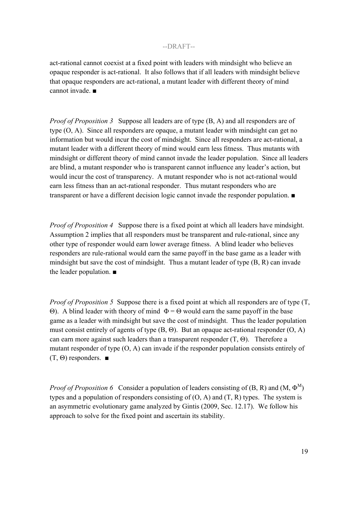act-rational cannot coexist at a fixed point with leaders with mindsight who believe an opaque responder is act-rational. It also follows that if all leaders with mindsight believe that opaque responders are act-rational, a mutant leader with different theory of mind cannot invade. ■

*Proof of Proposition 3* Suppose all leaders are of type (B, A) and all responders are of type (O, A). Since all responders are opaque, a mutant leader with mindsight can get no information but would incur the cost of mindsight. Since all responders are act-rational, a mutant leader with a different theory of mind would earn less fitness. Thus mutants with mindsight or different theory of mind cannot invade the leader population. Since all leaders are blind, a mutant responder who is transparent cannot influence any leader's action, but would incur the cost of transparency. A mutant responder who is not act-rational would earn less fitness than an act-rational responder. Thus mutant responders who are transparent or have a different decision logic cannot invade the responder population. ■

*Proof of Proposition 4* Suppose there is a fixed point at which all leaders have mindsight. Assumption 2 implies that all responders must be transparent and rule-rational, since any other type of responder would earn lower average fitness. A blind leader who believes responders are rule-rational would earn the same payoff in the base game as a leader with mindsight but save the cost of mindsight. Thus a mutant leader of type (B, R) can invade the leader population. ■

*Proof of Proposition 5* Suppose there is a fixed point at which all responders are of type (T, Θ). A blind leader with theory of mind Φ = Θ would earn the same payoff in the base game as a leader with mindsight but save the cost of mindsight. Thus the leader population must consist entirely of agents of type  $(B, \Theta)$ . But an opaque act-rational responder  $(O, A)$ can earn more against such leaders than a transparent responder  $(T, \Theta)$ . Therefore a mutant responder of type (O, A) can invade if the responder population consists entirely of  $(T, \Theta)$  responders.  $\blacksquare$ 

*Proof of Proposition 6* Consider a population of leaders consisting of (B, R) and (M,  $\Phi^M$ ) types and a population of responders consisting of  $(O, A)$  and  $(T, R)$  types. The system is an asymmetric evolutionary game analyzed by Gintis (2009, Sec. 12.17). We follow his approach to solve for the fixed point and ascertain its stability.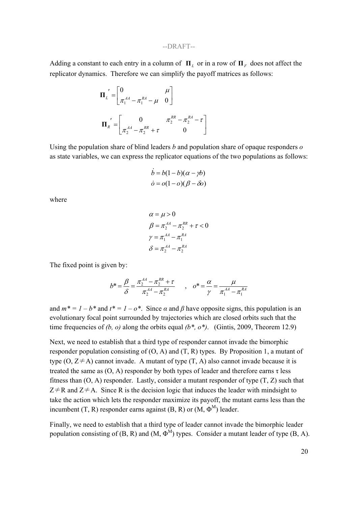Adding a constant to each entry in a column of  $\Pi$ <sub>*L*</sub> or in a row of  $\Pi$ <sub>*F*</sub> does not affect the replicator dynamics. Therefore we can simplify the payoff matrices as follows:

$$
\Pi_L' = \begin{bmatrix} 0 & \mu \\ \pi_1^{AA} - \pi_1^{RA} - \mu & 0 \end{bmatrix}
$$

$$
\Pi_R' = \begin{bmatrix} 0 & \pi_2^{RR} - \pi_2^{RA} - \tau \\ \pi_2^{AA} - \pi_2^{RR} + \tau & 0 \end{bmatrix}
$$

Using the population share of blind leaders *b* and population share of opaque responders *o* as state variables, we can express the replicator equations of the two populations as follows:

$$
\dot{b} = b(1 - b)(\alpha - \gamma b)
$$

$$
\dot{\sigma} = o(1 - o)(\beta - \delta o)
$$

where

$$
\alpha = \mu > 0
$$
  
\n
$$
\beta = \pi_2^{AA} - \pi_2^{RR} + \tau < 0
$$
  
\n
$$
\gamma = \pi_1^{AA} - \pi_1^{RA}
$$
  
\n
$$
\delta = \pi_2^{AA} - \pi_2^{RA}
$$

The fixed point is given by:

$$
b^* = \frac{\beta}{\delta} = \frac{\pi_2^{A A} - \pi_2^{R R} + \tau}{\pi_2^{A A} - \pi_2^{R A}} \qquad , \quad b^* = \frac{\alpha}{\gamma} = \frac{\mu}{\pi_1^{A A} - \pi_1^{R A}}
$$

and  $m^* = 1 - b^*$  and  $t^* = 1 - o^*$ . Since  $\alpha$  and  $\beta$  have opposite signs, this population is an evolutionary focal point surrounded by trajectories which are closed orbits such that the time frequencies of  $(b, o)$  along the orbits equal  $(b^*, o^*)$ . (Gintis, 2009, Theorem 12.9)

Next, we need to establish that a third type of responder cannot invade the bimorphic responder population consisting of  $(O, A)$  and  $(T, R)$  types. By Proposition 1, a mutant of type  $(O, Z \neq A)$  cannot invade. A mutant of type  $(T, A)$  also cannot invade because it is treated the same as  $(O, A)$  responder by both types of leader and therefore earns  $\tau$  less fitness than  $(0, A)$  responder. Lastly, consider a mutant responder of type  $(T, Z)$  such that  $Z \neq R$  and  $Z \neq A$ . Since R is the decision logic that induces the leader with mindsight to take the action which lets the responder maximize its payoff, the mutant earns less than the incumbent (T, R) responder earns against (B, R) or  $(M, \Phi^M)$  leader.

Finally, we need to establish that a third type of leader cannot invade the bimorphic leader population consisting of  $(B, R)$  and  $(M, \Phi^M)$  types. Consider a mutant leader of type  $(B, A)$ .